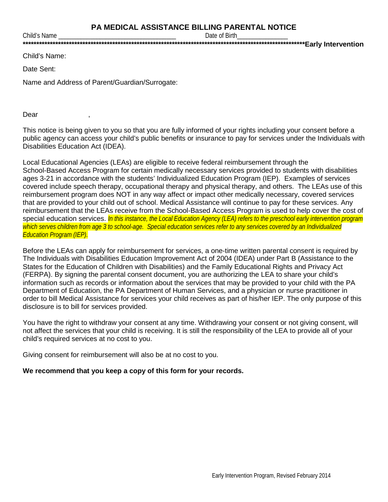Date of Birth

Child's Name:

Child's Name

Date Sent:

Name and Address of Parent/Guardian/Surrogate:

Dear

This notice is being given to you so that you are fully informed of your rights including your consent before a public agency can access your child's public benefits or insurance to pay for services under the Individuals with Disabilities Education Act (IDEA).

Local Educational Agencies (LEAs) are eligible to receive federal reimbursement through the School-Based Access Program for certain medically necessary services provided to students with disabilities ages 3-21 in accordance with the students' Individualized Education Program (IEP). Examples of services covered include speech therapy, occupational therapy and physical therapy, and others. The LEAs use of this reimbursement program does NOT in any way affect or impact other medically necessary, covered services that are provided to your child out of school. Medical Assistance will continue to pay for these services. Any reimbursement that the LEAs receive from the School-Based Access Program is used to help cover the cost of special education services. In this instance, the Local Education Agency (LEA) refers to the preschool early intervention program which serves children from age 3 to school-age. Special education services refer to any services covered by an Individualized **Education Program (IEP).** 

Before the LEAs can apply for reimbursement for services, a one-time written parental consent is required by The Individuals with Disabilities Education Improvement Act of 2004 (IDEA) under Part B (Assistance to the States for the Education of Children with Disabilities) and the Family Educational Rights and Privacy Act (FERPA). By signing the parental consent document, you are authorizing the LEA to share your child's information such as records or information about the services that may be provided to your child with the PA Department of Education, the PA Department of Human Services, and a physician or nurse practitioner in order to bill Medical Assistance for services your child receives as part of his/her IEP. The only purpose of this disclosure is to bill for services provided.

You have the right to withdraw your consent at any time. Withdrawing your consent or not giving consent, will not affect the services that your child is receiving. It is still the responsibility of the LEA to provide all of your child's required services at no cost to you.

Giving consent for reimbursement will also be at no cost to you.

## We recommend that you keep a copy of this form for your records.